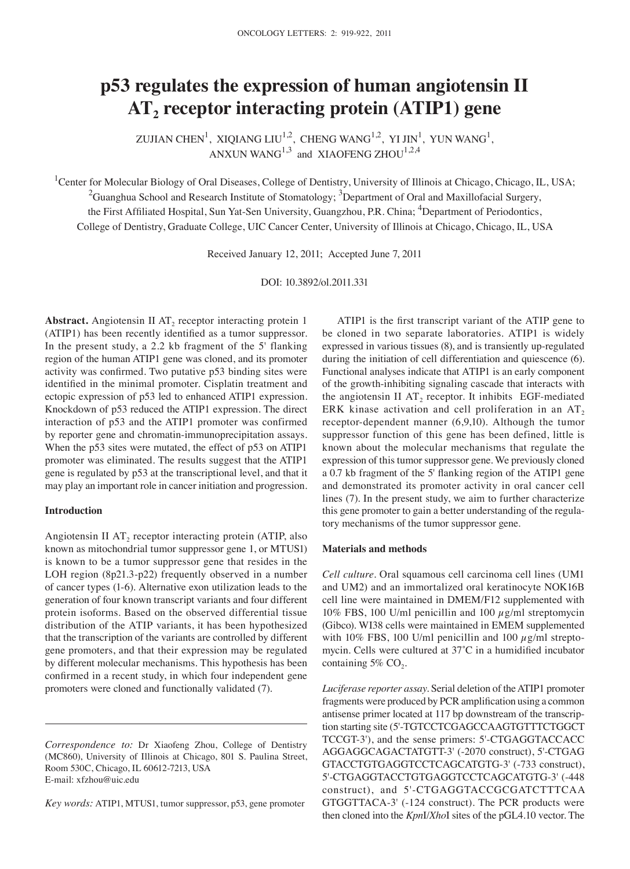# **p53 regulates the expression of human angiotensin II AT2 receptor interacting protein (ATIP1) gene**

ZUJIAN CHEN<sup>1</sup>, XIQIANG LIU<sup>1,2</sup>, CHENG WANG<sup>1,2</sup>, YI JIN<sup>1</sup>, YUN WANG<sup>1</sup>, ANXUN WANG<sup>1,3</sup> and XIAOFENG ZHOU<sup>1,2,4</sup>

<sup>1</sup>Center for Molecular Biology of Oral Diseases, College of Dentistry, University of Illinois at Chicago, Chicago, IL, USA;  $^2$ Guanghua School and Research Institute of Stomatology;  $^3$ Department of Oral and Maxillofacial Surgery, the First Affiliated Hospital, Sun Yat-Sen University, Guangzhou, P.R. China; <sup>4</sup>Department of Periodontics, College of Dentistry, Graduate College, UIC Cancer Center, University of Illinois at Chicago, Chicago, IL, USA

Received January 12, 2011; Accepted June 7, 2011

DOI: 10.3892/ol.2011.331

**Abstract.** Angiotensin II AT<sub>2</sub> receptor interacting protein 1 (ATIP1) has been recently identified as a tumor suppressor. In the present study, a 2.2 kb fragment of the 5' flanking region of the human ATIP1 gene was cloned, and its promoter activity was confirmed. Two putative p53 binding sites were identified in the minimal promoter. Cisplatin treatment and ectopic expression of p53 led to enhanced ATIP1 expression. Knockdown of p53 reduced the ATIP1 expression. The direct interaction of p53 and the ATIP1 promoter was confirmed by reporter gene and chromatin‑immunoprecipitation assays. When the p53 sites were mutated, the effect of p53 on ATIP1 promoter was eliminated. The results suggest that the ATIP1 gene is regulated by p53 at the transcriptional level, and that it may play an important role in cancer initiation and progression.

## **Introduction**

Angiotensin II  $AT_2$  receptor interacting protein (ATIP, also known as mitochondrial tumor suppressor gene 1, or MTUS1) is known to be a tumor suppressor gene that resides in the LOH region (8p21.3-p22) frequently observed in a number of cancer types (1‑6). Alternative exon utilization leads to the generation of four known transcript variants and four different protein isoforms. Based on the observed differential tissue distribution of the ATIP variants, it has been hypothesized that the transcription of the variants are controlled by different gene promoters, and that their expression may be regulated by different molecular mechanisms. This hypothesis has been confirmed in a recent study, in which four independent gene promoters were cloned and functionally validated (7).

*Key words:* ATIP1, MTUS1, tumor suppressor, p53, gene promoter

ATIP1 is the first transcript variant of the ATIP gene to be cloned in two separate laboratories. ATIP1 is widely expressed in various tissues (8), and is transiently up‑regulated during the initiation of cell differentiation and quiescence (6). Functional analyses indicate that ATIP1 is an early component of the growth‑inhibiting signaling cascade that interacts with the angiotensin II  $AT_2$  receptor. It inhibits EGF-mediated ERK kinase activation and cell proliferation in an  $AT<sub>2</sub>$ receptor-dependent manner (6,9,10). Although the tumor suppressor function of this gene has been defined, little is known about the molecular mechanisms that regulate the expression of this tumor suppressor gene. We previously cloned a 0.7 kb fragment of the 5' flanking region of the ATIP1 gene and demonstrated its promoter activity in oral cancer cell lines (7). In the present study, we aim to further characterize this gene promoter to gain a better understanding of the regulatory mechanisms of the tumor suppressor gene.

### **Materials and methods**

*Cell culture.* Oral squamous cell carcinoma cell lines (UM1 and UM2) and an immortalized oral keratinocyte NOK16B cell line were maintained in DMEM/F12 supplemented with 10% FBS, 100 U/ml penicillin and 100  $\mu$ g/ml streptomycin (Gibco). WI38 cells were maintained in EMEM supplemented with 10% FBS, 100 U/ml penicillin and 100  $\mu$ g/ml streptomycin. Cells were cultured at 37˚C in a humidified incubator containing  $5\%$  CO<sub>2</sub>.

*Luciferase reporter assay.* Serial deletion of the ATIP1 promoter fragments were produced by PCR amplification using a common antisense primer located at 117 bp downstream of the transcription starting site (5'‑TGTCCTCGAGCCAAGTGTTTCTGGCT TCCGT-3'), and the sense primers: 5'-CTGAGGTACCACC AGGAGGCAGACTATGTT-3' (‑2070 construct), 5'-CTGAG GTACCTGTGAGGTCCTCAGCATGTG-3' (‑733 construct), 5'-CTGAGGTACCTGTGAGGTCCTCAGCATGTG-3' (-448 construct), and 5'-CTGAGGTACCGCGATCTTTCAA GTGGTTACA-3' (‑124 construct). The PCR products were then cloned into the *Kpn*I/*Xho*I sites of the pGL4.10 vector. The

*Correspondence to:* Dr Xiaofeng Zhou, College of Dentistry (MC860), University of Illinois at Chicago, 801 S. Paulina Street, Room 530C, Chicago, IL 60612-7213, USA E-mail: xfzhou@uic.edu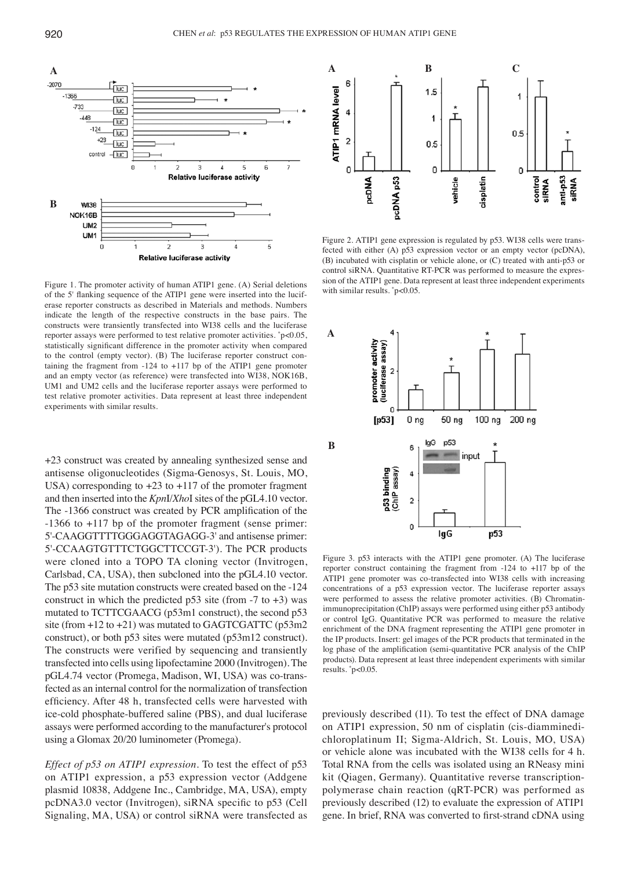

Figure 1. The promoter activity of human ATIP1 gene. (A) Serial deletions of the 5' flanking sequence of the ATIP1 gene were inserted into the luciferase reporter constructs as described in Materials and methods. Numbers indicate the length of the respective constructs in the base pairs. The constructs were transiently transfected into WI38 cells and the luciferase reporter assays were performed to test relative promoter activities. \* p<0.05, statistically significant difference in the promoter activity when compared to the control (empty vector). (B) The luciferase reporter construct containing the fragment from -124 to +117 bp of the ATIP1 gene promoter and an empty vector (as reference) were transfected into WI38, NOK16B, UM1 and UM2 cells and the luciferase reporter assays were performed to test relative promoter activities. Data represent at least three independent experiments with similar results.

+23 construct was created by annealing synthesized sense and antisense oligonucleotides (Sigma‑Genosys, St. Louis, MO, USA) corresponding to +23 to +117 of the promoter fragment and then inserted into the *Kpn*I/*Xho*I sites of the pGL4.10 vector. The -1366 construct was created by PCR amplification of the ‑1366 to +117 bp of the promoter fragment (sense primer: 5'-CAAGGTTTTGGGAGGTAGAGG-3' and antisense primer: 5'‑CCAAGTGTTTCTGGCTTCCGT‑3'). The PCR products were cloned into a TOPO TA cloning vector (Invitrogen, Carlsbad, CA, USA), then subcloned into the pGL4.10 vector. The p53 site mutation constructs were created based on the -124 construct in which the predicted p53 site (from  $-7$  to  $+3$ ) was mutated to TCTTCGAACG (p53m1 construct), the second p53 site (from  $+12$  to  $+21$ ) was mutated to GAGTCGATTC (p53m2 construct), or both p53 sites were mutated (p53m12 construct). The constructs were verified by sequencing and transiently transfected into cells using lipofectamine 2000 (Invitrogen). The pGL4.74 vector (Promega, Madison, WI, USA) was co‑transfected as an internal control for the normalization of transfection efficiency. After 48 h, transfected cells were harvested with ice-cold phosphate-buffered saline (PBS), and dual luciferase assays were performed according to the manufacturer's protocol using a Glomax 20/20 luminometer (Promega).

*Effect of p53 on ATIP1 expression.* To test the effect of p53 on ATIP1 expression, a p53 expression vector (Addgene plasmid 10838, Addgene Inc., Cambridge, MA, USA), empty pcDNA3.0 vector (Invitrogen), siRNA specific to p53 (Cell Signaling, MA, USA) or control siRNA were transfected as



Figure 2. ATIP1 gene expression is regulated by p53. WI38 cells were transfected with either (A) p53 expression vector or an empty vector (pcDNA), (B) incubated with cisplatin or vehicle alone, or (C) treated with anti-p53 or control siRNA. Quantitative RT-PCR was performed to measure the expression of the ATIP1 gene. Data represent at least three independent experiments with similar results. \* p<0.05.



Figure 3. p53 interacts with the ATIP1 gene promoter. (A) The luciferase reporter construct containing the fragment from -124 to +117 bp of the ATIP1 gene promoter was co-transfected into WI38 cells with increasing concentrations of a p53 expression vector. The luciferase reporter assays were performed to assess the relative promoter activities. (B) Chromatinimmunoprecipitation (ChIP) assays were performed using either p53 antibody or control IgG. Quantitative PCR was performed to measure the relative enrichment of the DNA fragment representing the ATIP1 gene promoter in the IP products. Insert: gel images of the PCR products that terminated in the log phase of the amplification (semi-quantitative PCR analysis of the ChIP products). Data represent at least three independent experiments with similar results. \* p<0.05.

previously described (11). To test the effect of DNA damage on ATIP1 expression, 50 nm of cisplatin (cis‑diamminedichloroplatinum II; Sigma‑Aldrich, St. Louis, MO, USA) or vehicle alone was incubated with the WI38 cells for 4 h. Total RNA from the cells was isolated using an RNeasy mini kit (Qiagen, Germany). Quantitative reverse transcriptionpolymerase chain reaction (qRT‑PCR) was performed as previously described (12) to evaluate the expression of ATIP1 gene. In brief, RNA was converted to first‑strand cDNA using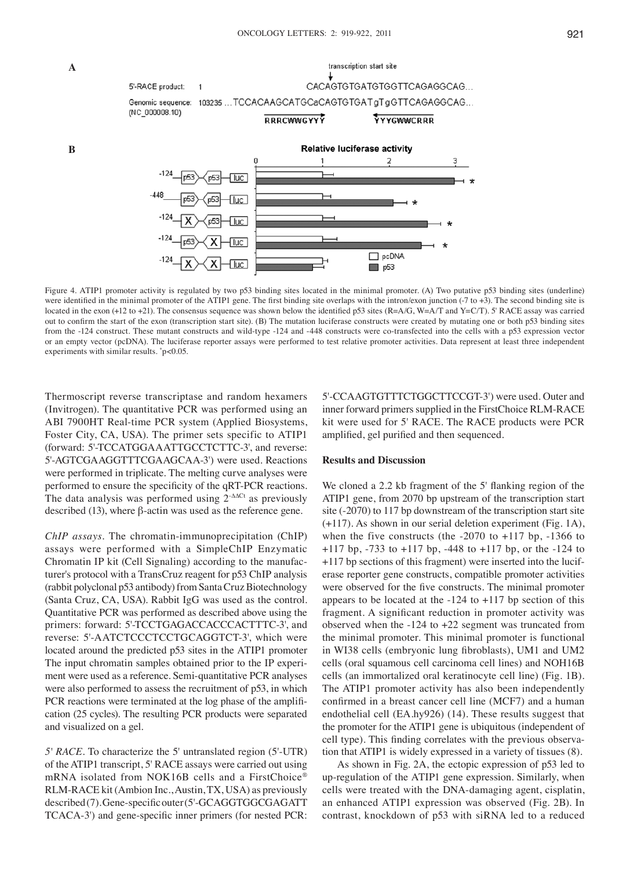

Figure 4. ATIP1 promoter activity is regulated by two p53 binding sites located in the minimal promoter. (A) Two putative p53 binding sites (underline) were identified in the minimal promoter of the ATIP1 gene. The first binding site overlaps with the intron/exon junction (-7 to +3). The second binding site is located in the exon (+12 to +21). The consensus sequence was shown below the identified p53 sites (R=A/G, W=A/T and Y=C/T). 5' RACE assay was carried out to confirm the start of the exon (transcription start site). (B) The mutation luciferase constructs were created by mutating one or both p53 binding sites from the -124 construct. These mutant constructs and wild-type -124 and -448 constructs were co-transfected into the cells with a p53 expression vector or an empty vector (pcDNA). The luciferase reporter assays were performed to test relative promoter activities. Data represent at least three independent experiments with similar results. \* p<0.05.

Thermoscript reverse transcriptase and random hexamers (Invitrogen). The quantitative PCR was performed using an ABI 7900HT Real-time PCR system (Applied Biosystems, Foster City, CA, USA). The primer sets specific to ATIP1 (forward: 5'‑TCCATGGAAATTGCCTCTTC‑3', and reverse: 5'‑AGTCGAAGGTTTCGAAGCAA‑3') were used. Reactions were performed in triplicate. The melting curve analyses were performed to ensure the specificity of the qRT‑PCR reactions. The data analysis was performed using 2<sup>-∆∆Ct</sup> as previously described (13), where β-actin was used as the reference gene.

 **A**

 **B**

*ChIP assays.* The chromatin-immunoprecipitation (ChIP) assays were performed with a SimpleChIP Enzymatic Chromatin IP kit (Cell Signaling) according to the manufacturer's protocol with a TransCruz reagent for p53 ChIP analysis (rabbit polyclonal p53 antibody) from Santa Cruz Biotechnology (Santa Cruz, CA, USA). Rabbit IgG was used as the control. Quantitative PCR was performed as described above using the primers: forward: 5'‑TCCTGAGACCACCCACTTTC‑3', and reverse: 5'‑AATCTCCCTCCTGCAGGTCT‑3', which were located around the predicted p53 sites in the ATIP1 promoter The input chromatin samples obtained prior to the IP experiment were used as a reference. Semi‑quantitative PCR analyses were also performed to assess the recruitment of p53, in which PCR reactions were terminated at the log phase of the amplification (25 cycles). The resulting PCR products were separated and visualized on a gel.

*5' RACE.* To characterize the 5' untranslated region (5'‑UTR) of the ATIP1 transcript, 5' RACE assays were carried out using mRNA isolated from NOK16B cells and a FirstChoice® RLM‑RACE kit (Ambion Inc., Austin, TX, USA) as previously described (7). Gene‑specific outer (5'‑GCAGGTGGCGAGATT TCACA‑3') and gene‑specific inner primers (for nested PCR:

5'‑CCAAGTGTTTCTGGCTTCCGT‑3') were used. Outer and inner forward primers supplied in the FirstChoice RLM‑RACE kit were used for 5' RACE. The RACE products were PCR amplified, gel purified and then sequenced.

### **Results and Discussion**

We cloned a 2.2 kb fragment of the 5' flanking region of the ATIP1 gene, from 2070 bp upstream of the transcription start site (-2070) to 117 bp downstream of the transcription start site (+117). As shown in our serial deletion experiment (Fig. 1A), when the five constructs (the  $-2070$  to  $+117$  bp,  $-1366$  to +117 bp, ‑733 to +117 bp, ‑448 to +117 bp, or the ‑124 to +117 bp sections of this fragment) were inserted into the luciferase reporter gene constructs, compatible promoter activities were observed for the five constructs. The minimal promoter appears to be located at the  $-124$  to  $+117$  bp section of this fragment. A significant reduction in promoter activity was observed when the  $-124$  to  $+22$  segment was truncated from the minimal promoter. This minimal promoter is functional in WI38 cells (embryonic lung fibroblasts), UM1 and UM2 cells (oral squamous cell carcinoma cell lines) and NOH16B cells (an immortalized oral keratinocyte cell line) (Fig. 1B). The ATIP1 promoter activity has also been independently confirmed in a breast cancer cell line (MCF7) and a human endothelial cell (EA.hy926) (14). These results suggest that the promoter for the ATIP1 gene is ubiquitous (independent of cell type). This finding correlates with the previous observation that ATIP1 is widely expressed in a variety of tissues (8).

As shown in Fig. 2A, the ectopic expression of p53 led to up‑regulation of the ATIP1 gene expression. Similarly, when cells were treated with the DNA‑damaging agent, cisplatin, an enhanced ATIP1 expression was observed (Fig. 2B). In contrast, knockdown of p53 with siRNA led to a reduced